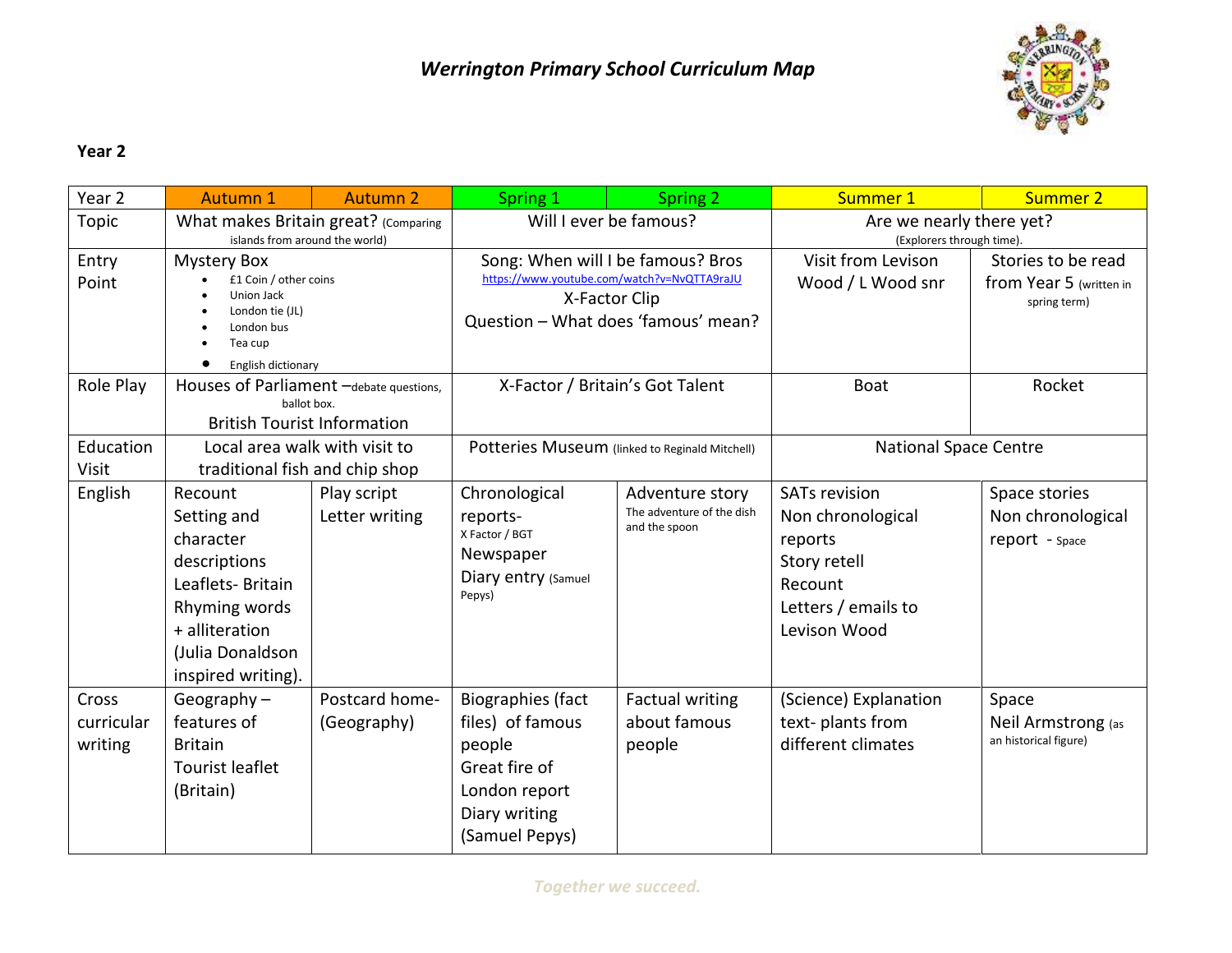

## **Year 2**

| Year <sub>2</sub>              | <b>Autumn 1</b>                                                                                                                                      | <b>Autumn 2</b>               | Spring 1                                                                                                                                 | Spring 2                                                      | Summer 1                                                                                                               | Summer 2                                                      |
|--------------------------------|------------------------------------------------------------------------------------------------------------------------------------------------------|-------------------------------|------------------------------------------------------------------------------------------------------------------------------------------|---------------------------------------------------------------|------------------------------------------------------------------------------------------------------------------------|---------------------------------------------------------------|
| Topic                          | What makes Britain great? (Comparing<br>islands from around the world)                                                                               |                               | Will I ever be famous?                                                                                                                   |                                                               | Are we nearly there yet?<br>(Explorers through time).                                                                  |                                                               |
| Entry<br>Point                 | <b>Mystery Box</b><br>£1 Coin / other coins<br>Union Jack<br>London tie (JL)<br>London bus<br>Tea cup<br>English dictionary                          |                               | Song: When will I be famous? Bros<br>https://www.youtube.com/watch?v=NvQTTA9raJU<br>X-Factor Clip<br>Question - What does 'famous' mean? |                                                               | Visit from Levison<br>Wood / L Wood snr                                                                                | Stories to be read<br>from Year 5 (written in<br>spring term) |
| Role Play                      | Houses of Parliament -debate questions,<br>ballot box.<br><b>British Tourist Information</b>                                                         |                               | X-Factor / Britain's Got Talent                                                                                                          |                                                               | <b>Boat</b>                                                                                                            | Rocket                                                        |
| Education<br>Visit             | Local area walk with visit to<br>traditional fish and chip shop                                                                                      |                               | Potteries Museum (linked to Reginald Mitchell)                                                                                           |                                                               | <b>National Space Centre</b>                                                                                           |                                                               |
| English                        | Recount<br>Setting and<br>character<br>descriptions<br>Leaflets-Britain<br>Rhyming words<br>+ alliteration<br>(Julia Donaldson<br>inspired writing). | Play script<br>Letter writing | Chronological<br>reports-<br>X Factor / BGT<br>Newspaper<br>Diary entry (Samuel<br>Pepys)                                                | Adventure story<br>The adventure of the dish<br>and the spoon | <b>SATs revision</b><br>Non chronological<br>reports<br>Story retell<br>Recount<br>Letters / emails to<br>Levison Wood | Space stories<br>Non chronological<br>report - Space          |
| Cross<br>curricular<br>writing | Geography $-$<br>features of<br><b>Britain</b><br><b>Tourist leaflet</b><br>(Britain)                                                                | Postcard home-<br>(Geography) | <b>Biographies (fact</b><br>files) of famous<br>people<br>Great fire of<br>London report<br>Diary writing<br>(Samuel Pepys)              | <b>Factual writing</b><br>about famous<br>people              | (Science) Explanation<br>text-plants from<br>different climates                                                        | Space<br>Neil Armstrong (as<br>an historical figure)          |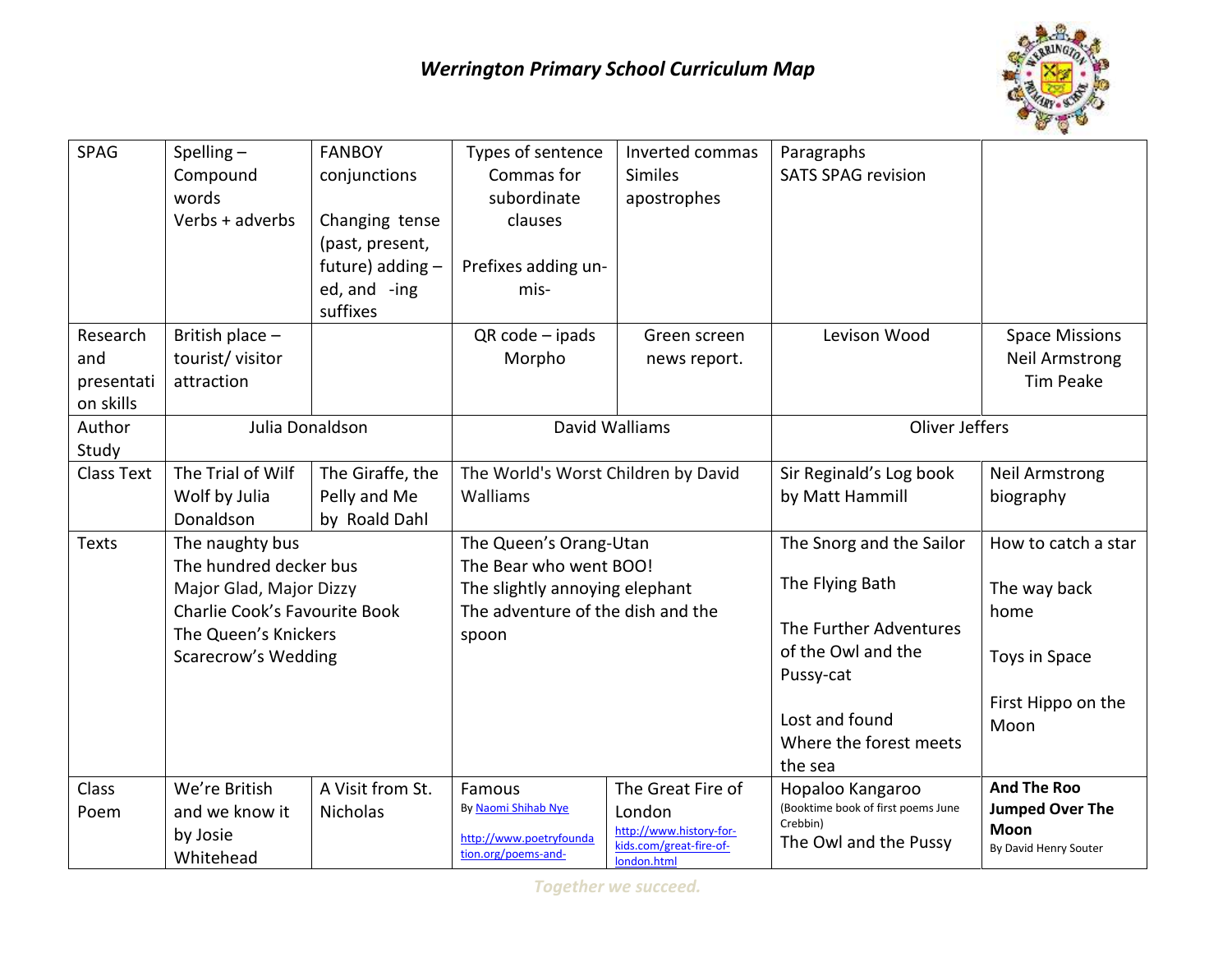

| SPAG              | Spelling $-$                                             | <b>FANBOY</b>    | Types of sentence                                                   | Inverted commas                        | Paragraphs                         |                        |
|-------------------|----------------------------------------------------------|------------------|---------------------------------------------------------------------|----------------------------------------|------------------------------------|------------------------|
|                   | Compound                                                 | conjunctions     | Commas for                                                          | <b>Similes</b>                         | <b>SATS SPAG revision</b>          |                        |
|                   | words                                                    |                  | subordinate                                                         | apostrophes                            |                                    |                        |
|                   | Verbs + adverbs                                          | Changing tense   | clauses                                                             |                                        |                                    |                        |
|                   |                                                          | (past, present,  |                                                                     |                                        |                                    |                        |
|                   |                                                          | future) adding - | Prefixes adding un-                                                 |                                        |                                    |                        |
|                   |                                                          | ed, and -ing     | mis-                                                                |                                        |                                    |                        |
|                   |                                                          | suffixes         |                                                                     |                                        |                                    |                        |
| Research          | British place -                                          |                  | $QR code -ipads$                                                    | Green screen                           | Levison Wood                       | <b>Space Missions</b>  |
| and               | tourist/ visitor                                         |                  | Morpho                                                              | news report.                           |                                    | <b>Neil Armstrong</b>  |
| presentati        | attraction                                               |                  |                                                                     |                                        |                                    | <b>Tim Peake</b>       |
| on skills         |                                                          |                  |                                                                     |                                        |                                    |                        |
| Author            | Julia Donaldson                                          |                  | David Walliams                                                      |                                        | Oliver Jeffers                     |                        |
| Study             |                                                          |                  |                                                                     |                                        |                                    |                        |
| <b>Class Text</b> | The Trial of Wilf                                        | The Giraffe, the | The World's Worst Children by David                                 |                                        | Sir Reginald's Log book            | <b>Neil Armstrong</b>  |
|                   | Wolf by Julia                                            | Pelly and Me     | Walliams                                                            |                                        | by Matt Hammill                    | biography              |
|                   | Donaldson                                                | by Roald Dahl    |                                                                     |                                        |                                    |                        |
| <b>Texts</b>      | The naughty bus                                          |                  | The Queen's Orang-Utan                                              |                                        | The Snorg and the Sailor           | How to catch a star    |
|                   | The hundred decker bus                                   |                  | The Bear who went BOO!                                              |                                        |                                    |                        |
|                   | Major Glad, Major Dizzy<br>Charlie Cook's Favourite Book |                  | The slightly annoying elephant<br>The adventure of the dish and the |                                        | The Flying Bath                    | The way back           |
|                   |                                                          |                  |                                                                     |                                        | The Further Adventures             | home                   |
|                   | The Queen's Knickers                                     |                  | spoon                                                               |                                        | of the Owl and the                 |                        |
|                   | <b>Scarecrow's Wedding</b>                               |                  |                                                                     |                                        |                                    | Toys in Space          |
|                   |                                                          |                  |                                                                     |                                        | Pussy-cat                          |                        |
|                   |                                                          |                  |                                                                     |                                        | Lost and found                     | First Hippo on the     |
|                   |                                                          |                  |                                                                     |                                        | Where the forest meets             | Moon                   |
|                   |                                                          |                  |                                                                     |                                        | the sea                            |                        |
| Class             | We're British                                            | A Visit from St. | Famous                                                              | The Great Fire of                      | Hopaloo Kangaroo                   | <b>And The Roo</b>     |
| Poem              | and we know it                                           | <b>Nicholas</b>  | By Naomi Shihab Nye                                                 | London                                 | (Booktime book of first poems June | <b>Jumped Over The</b> |
|                   | by Josie                                                 |                  |                                                                     | http://www.history-for-                | Crebbin)                           | Moon                   |
|                   | Whitehead                                                |                  | http://www.poetryfounda<br>tion.org/poems-and-                      | kids.com/great-fire-of-<br>london.html | The Owl and the Pussy              | By David Henry Souter  |
|                   |                                                          |                  |                                                                     |                                        |                                    |                        |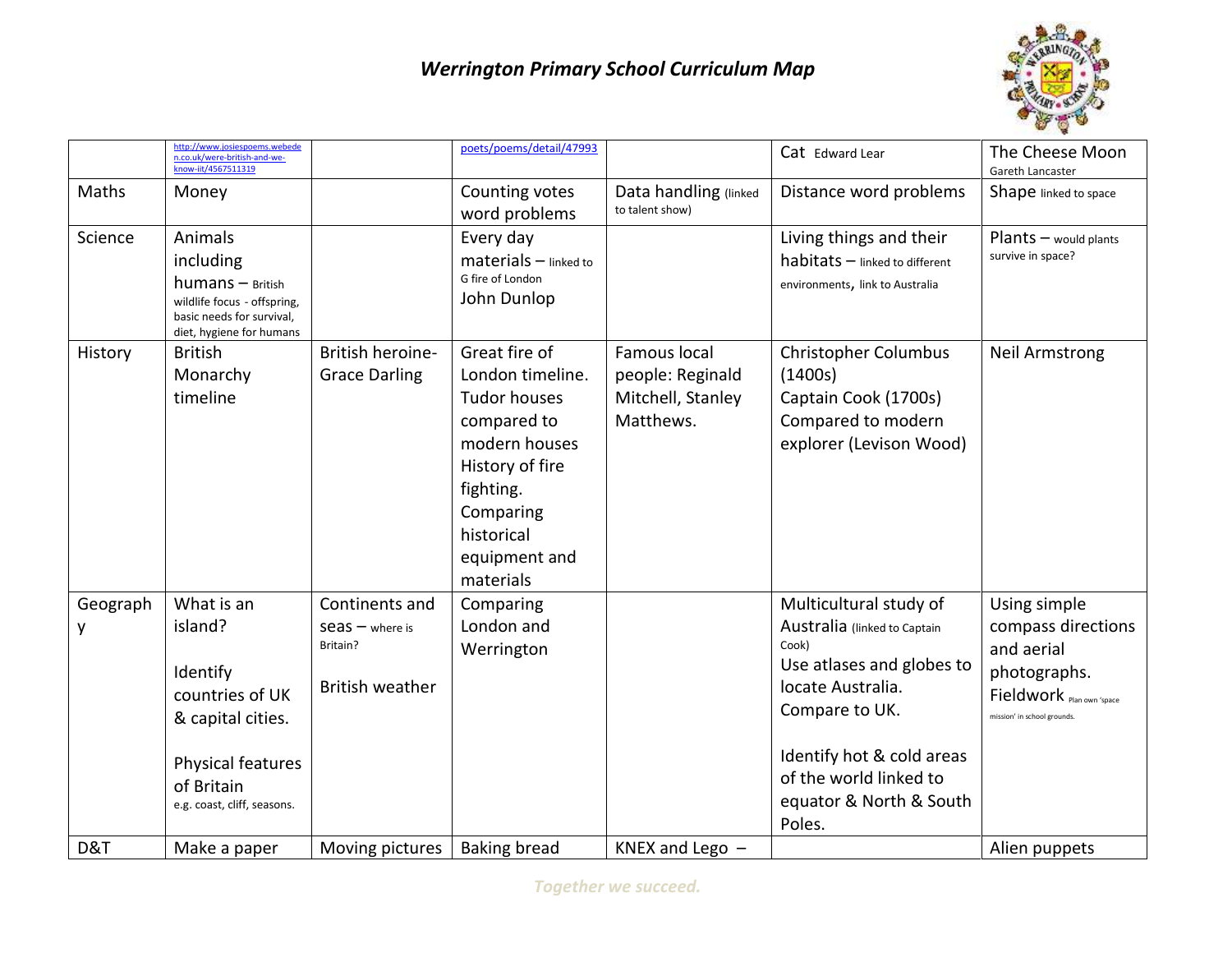## *Werrington Primary School Curriculum Map*



|               | http://www.josiespoems.webede<br>n.co.uk/were-british-and-we-<br>know-iit/4567511319                                                        |                                                                       | poets/poems/detail/47993                                                                                                                                                          |                                                                    | Cat Edward Lear                                                                                                                                                                                                                 | The Cheese Moon<br>Gareth Lancaster                                                                                          |
|---------------|---------------------------------------------------------------------------------------------------------------------------------------------|-----------------------------------------------------------------------|-----------------------------------------------------------------------------------------------------------------------------------------------------------------------------------|--------------------------------------------------------------------|---------------------------------------------------------------------------------------------------------------------------------------------------------------------------------------------------------------------------------|------------------------------------------------------------------------------------------------------------------------------|
| Maths         | Money                                                                                                                                       |                                                                       | Counting votes<br>word problems                                                                                                                                                   | Data handling (linked<br>to talent show)                           | Distance word problems                                                                                                                                                                                                          | Shape linked to space                                                                                                        |
| Science       | Animals<br>including<br>$humans - British$<br>wildlife focus - offspring,<br>basic needs for survival,<br>diet, hygiene for humans          |                                                                       | Every day<br>$materials$ – linked to<br>G fire of London<br>John Dunlop                                                                                                           |                                                                    | Living things and their<br>habitats - linked to different<br>environments, link to Australia                                                                                                                                    | Plants - would plants<br>survive in space?                                                                                   |
| History       | <b>British</b><br>Monarchy<br>timeline                                                                                                      | British heroine-<br><b>Grace Darling</b>                              | Great fire of<br>London timeline.<br><b>Tudor houses</b><br>compared to<br>modern houses<br>History of fire<br>fighting.<br>Comparing<br>historical<br>equipment and<br>materials | Famous local<br>people: Reginald<br>Mitchell, Stanley<br>Matthews. | <b>Christopher Columbus</b><br>(1400s)<br>Captain Cook (1700s)<br>Compared to modern<br>explorer (Levison Wood)                                                                                                                 | <b>Neil Armstrong</b>                                                                                                        |
| Geograph<br>y | What is an<br>island?<br>Identify<br>countries of UK<br>& capital cities.<br>Physical features<br>of Britain<br>e.g. coast, cliff, seasons. | Continents and<br>$S$ eas $-$ where is<br>Britain?<br>British weather | Comparing<br>London and<br>Werrington                                                                                                                                             |                                                                    | Multicultural study of<br>Australia (linked to Captain<br>Cook)<br>Use atlases and globes to<br>locate Australia.<br>Compare to UK.<br>Identify hot & cold areas<br>of the world linked to<br>equator & North & South<br>Poles. | Using simple<br>compass directions<br>and aerial<br>photographs.<br>Fieldwork Plan own 'space<br>mission' in school grounds. |
| D&T           | Make a paper                                                                                                                                | Moving pictures                                                       | <b>Baking bread</b>                                                                                                                                                               | KNEX and Lego -                                                    |                                                                                                                                                                                                                                 | Alien puppets                                                                                                                |

*Together we succeed.*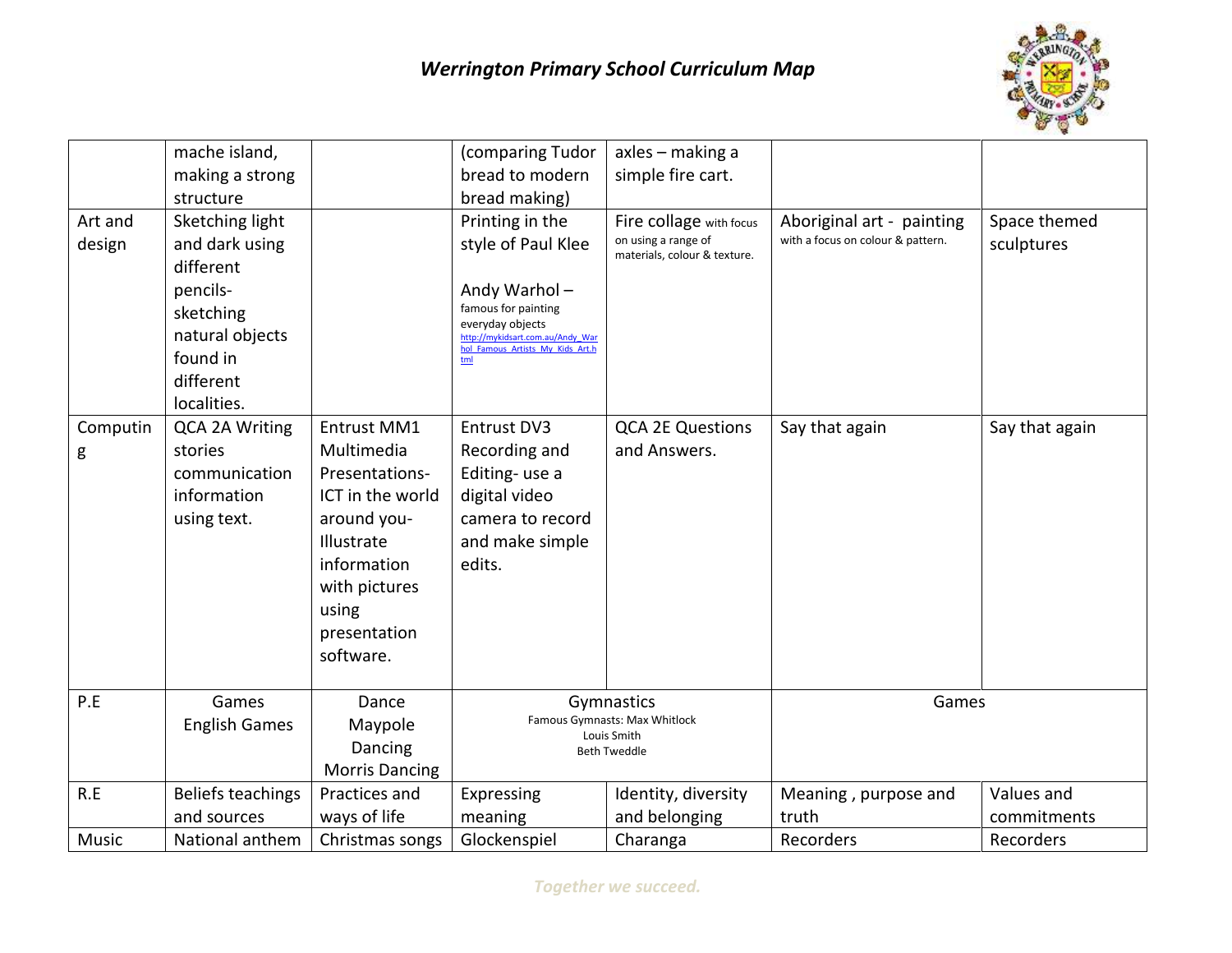

|          | mache island,         |                       | (comparing Tudor                                     | axles – making a              |                                   |                |
|----------|-----------------------|-----------------------|------------------------------------------------------|-------------------------------|-----------------------------------|----------------|
|          | making a strong       |                       | bread to modern                                      | simple fire cart.             |                                   |                |
|          | structure             |                       | bread making)                                        |                               |                                   |                |
| Art and  | Sketching light       |                       | Printing in the                                      | Fire collage with focus       | Aboriginal art - painting         | Space themed   |
| design   | and dark using        |                       | style of Paul Klee                                   | on using a range of           | with a focus on colour & pattern. | sculptures     |
|          | different             |                       |                                                      | materials, colour & texture.  |                                   |                |
|          | pencils-              |                       | Andy Warhol-                                         |                               |                                   |                |
|          | sketching             |                       | famous for painting                                  |                               |                                   |                |
|          | natural objects       |                       | everyday objects<br>http://mykidsart.com.au/Andy War |                               |                                   |                |
|          | found in              |                       | hol Famous Artists My Kids Art.h<br>tml              |                               |                                   |                |
|          | different             |                       |                                                      |                               |                                   |                |
|          | localities.           |                       |                                                      |                               |                                   |                |
| Computin | <b>QCA 2A Writing</b> | <b>Entrust MM1</b>    | Entrust DV3                                          | <b>QCA 2E Questions</b>       | Say that again                    | Say that again |
| g        | stories               | Multimedia            | Recording and                                        | and Answers.                  |                                   |                |
|          | communication         | Presentations-        | Editing-use a                                        |                               |                                   |                |
|          | information           | ICT in the world      | digital video                                        |                               |                                   |                |
|          | using text.           | around you-           | camera to record                                     |                               |                                   |                |
|          |                       | Illustrate            | and make simple                                      |                               |                                   |                |
|          |                       | information           | edits.                                               |                               |                                   |                |
|          |                       | with pictures         |                                                      |                               |                                   |                |
|          |                       | using                 |                                                      |                               |                                   |                |
|          |                       | presentation          |                                                      |                               |                                   |                |
|          |                       | software.             |                                                      |                               |                                   |                |
|          |                       |                       |                                                      |                               |                                   |                |
| P.E      | Games                 | Dance                 | Gymnastics                                           |                               | Games                             |                |
|          | <b>English Games</b>  | Maypole               |                                                      | Famous Gymnasts: Max Whitlock |                                   |                |
|          |                       | Dancing               | Louis Smith<br><b>Beth Tweddle</b>                   |                               |                                   |                |
|          |                       | <b>Morris Dancing</b> |                                                      |                               |                                   |                |
| R.E      | Beliefs teachings     | Practices and         | Expressing                                           | Identity, diversity           | Meaning, purpose and              | Values and     |
|          | and sources           | ways of life          | meaning                                              | and belonging                 | truth                             | commitments    |
| Music    | National anthem       | Christmas songs       | Glockenspiel                                         | Charanga                      | Recorders                         | Recorders      |

*Together we succeed.*